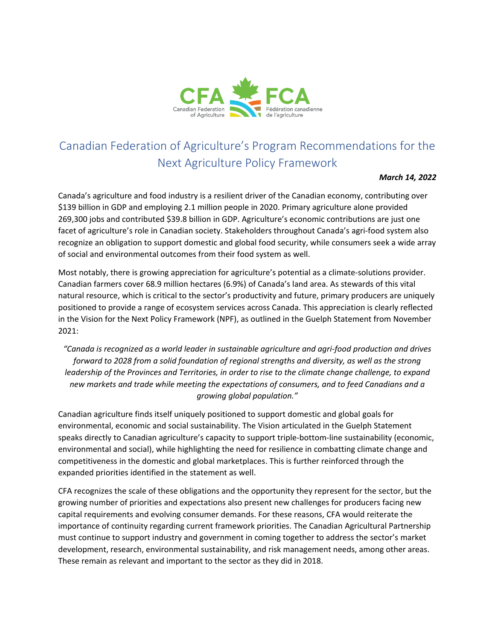

# Canadian Federation of Agriculture's Program Recommendations for the Next Agriculture Policy Framework

#### *March 14, 2022*

Canada's agriculture and food industry is a resilient driver of the Canadian economy, contributing over \$139 billion in GDP and employing 2.1 million people in 2020. Primary agriculture alone provided 269,300 jobs and contributed \$39.8 billion in GDP. Agriculture's economic contributions are just one facet of agriculture's role in Canadian society. Stakeholders throughout Canada's agri-food system also recognize an obligation to support domestic and global food security, while consumers seek a wide array of social and environmental outcomes from their food system as well.

Most notably, there is growing appreciation for agriculture's potential as a climate-solutions provider. Canadian farmers cover 68.9 million hectares (6.9%) of Canada's land area. As stewards of this vital natural resource, which is critical to the sector's productivity and future, primary producers are uniquely positioned to provide a range of ecosystem services across Canada. This appreciation is clearly reflected in the Vision for the Next Policy Framework (NPF), as outlined in the Guelph Statement from November 2021:

*"Canada is recognized as a world leader in sustainable agriculture and agri-food production and drives forward to 2028 from a solid foundation of regional strengths and diversity, as well as the strong leadership of the Provinces and Territories, in order to rise to the climate change challenge, to expand new markets and trade while meeting the expectations of consumers, and to feed Canadians and a growing global population."*

Canadian agriculture finds itself uniquely positioned to support domestic and global goals for environmental, economic and social sustainability. The Vision articulated in the Guelph Statement speaks directly to Canadian agriculture's capacity to support triple-bottom-line sustainability (economic, environmental and social), while highlighting the need for resilience in combatting climate change and competitiveness in the domestic and global marketplaces. This is further reinforced through the expanded priorities identified in the statement as well.

CFA recognizes the scale of these obligations and the opportunity they represent for the sector, but the growing number of priorities and expectations also present new challenges for producers facing new capital requirements and evolving consumer demands. For these reasons, CFA would reiterate the importance of continuity regarding current framework priorities. The Canadian Agricultural Partnership must continue to support industry and government in coming together to address the sector's market development, research, environmental sustainability, and risk management needs, among other areas. These remain as relevant and important to the sector as they did in 2018.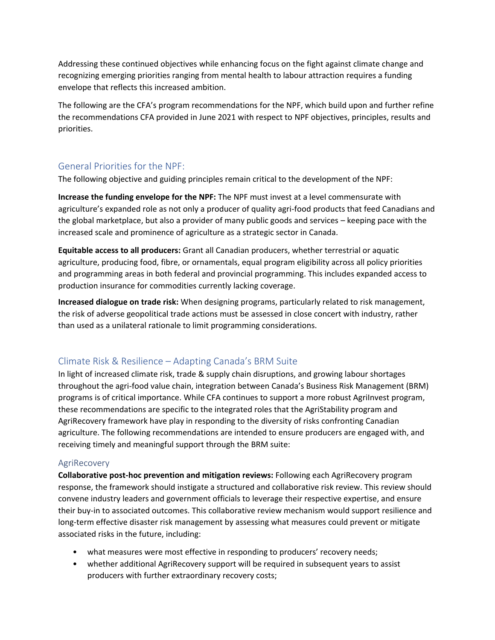Addressing these continued objectives while enhancing focus on the fight against climate change and recognizing emerging priorities ranging from mental health to labour attraction requires a funding envelope that reflects this increased ambition.

The following are the CFA's program recommendations for the NPF, which build upon and further refine the recommendations CFA provided in June 2021 with respect to NPF objectives, principles, results and priorities.

## General Priorities for the NPF:

The following objective and guiding principles remain critical to the development of the NPF:

**Increase the funding envelope for the NPF:** The NPF must invest at a level commensurate with agriculture's expanded role as not only a producer of quality agri-food products that feed Canadians and the global marketplace, but also a provider of many public goods and services – keeping pace with the increased scale and prominence of agriculture as a strategic sector in Canada.

**Equitable access to all producers:** Grant all Canadian producers, whether terrestrial or aquatic agriculture, producing food, fibre, or ornamentals, equal program eligibility across all policy priorities and programming areas in both federal and provincial programming. This includes expanded access to production insurance for commodities currently lacking coverage.

**Increased dialogue on trade risk:** When designing programs, particularly related to risk management, the risk of adverse geopolitical trade actions must be assessed in close concert with industry, rather than used as a unilateral rationale to limit programming considerations.

# Climate Risk & Resilience – Adapting Canada's BRM Suite

In light of increased climate risk, trade & supply chain disruptions, and growing labour shortages throughout the agri-food value chain, integration between Canada's Business Risk Management (BRM) programs is of critical importance. While CFA continues to support a more robust AgriInvest program, these recommendations are specific to the integrated roles that the AgriStability program and AgriRecovery framework have play in responding to the diversity of risks confronting Canadian agriculture. The following recommendations are intended to ensure producers are engaged with, and receiving timely and meaningful support through the BRM suite:

## AgriRecovery

**Collaborative post-hoc prevention and mitigation reviews:** Following each AgriRecovery program response, the framework should instigate a structured and collaborative risk review. This review should convene industry leaders and government officials to leverage their respective expertise, and ensure their buy-in to associated outcomes. This collaborative review mechanism would support resilience and long-term effective disaster risk management by assessing what measures could prevent or mitigate associated risks in the future, including:

- what measures were most effective in responding to producers' recovery needs;
- whether additional AgriRecovery support will be required in subsequent years to assist producers with further extraordinary recovery costs;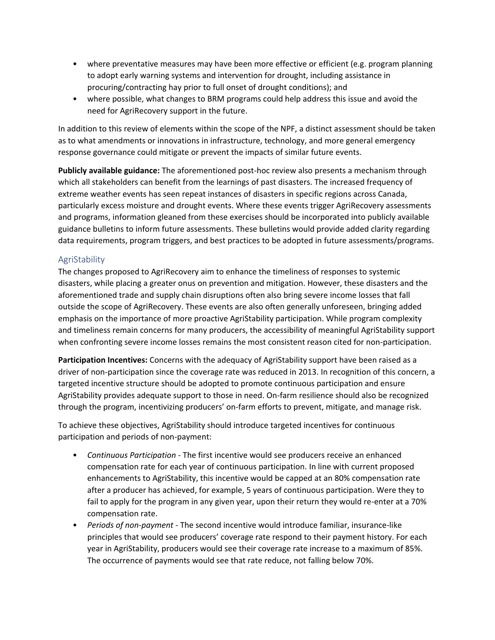- where preventative measures may have been more effective or efficient (e.g. program planning to adopt early warning systems and intervention for drought, including assistance in procuring/contracting hay prior to full onset of drought conditions); and
- where possible, what changes to BRM programs could help address this issue and avoid the need for AgriRecovery support in the future.

In addition to this review of elements within the scope of the NPF, a distinct assessment should be taken as to what amendments or innovations in infrastructure, technology, and more general emergency response governance could mitigate or prevent the impacts of similar future events.

**Publicly available guidance:** The aforementioned post-hoc review also presents a mechanism through which all stakeholders can benefit from the learnings of past disasters. The increased frequency of extreme weather events has seen repeat instances of disasters in specific regions across Canada, particularly excess moisture and drought events. Where these events trigger AgriRecovery assessments and programs, information gleaned from these exercises should be incorporated into publicly available guidance bulletins to inform future assessments. These bulletins would provide added clarity regarding data requirements, program triggers, and best practices to be adopted in future assessments/programs.

## AgriStability

The changes proposed to AgriRecovery aim to enhance the timeliness of responses to systemic disasters, while placing a greater onus on prevention and mitigation. However, these disasters and the aforementioned trade and supply chain disruptions often also bring severe income losses that fall outside the scope of AgriRecovery. These events are also often generally unforeseen, bringing added emphasis on the importance of more proactive AgriStability participation. While program complexity and timeliness remain concerns for many producers, the accessibility of meaningful AgriStability support when confronting severe income losses remains the most consistent reason cited for non-participation.

**Participation Incentives:** Concerns with the adequacy of AgriStability support have been raised as a driver of non-participation since the coverage rate was reduced in 2013. In recognition of this concern, a targeted incentive structure should be adopted to promote continuous participation and ensure AgriStability provides adequate support to those in need. On-farm resilience should also be recognized through the program, incentivizing producers' on-farm efforts to prevent, mitigate, and manage risk.

To achieve these objectives, AgriStability should introduce targeted incentives for continuous participation and periods of non-payment:

- *Continuous Participation* The first incentive would see producers receive an enhanced compensation rate for each year of continuous participation. In line with current proposed enhancements to AgriStability, this incentive would be capped at an 80% compensation rate after a producer has achieved, for example, 5 years of continuous participation. Were they to fail to apply for the program in any given year, upon their return they would re-enter at a 70% compensation rate.
- *Periods of non-payment -* The second incentive would introduce familiar, insurance-like principles that would see producers' coverage rate respond to their payment history. For each year in AgriStability, producers would see their coverage rate increase to a maximum of 85%. The occurrence of payments would see that rate reduce, not falling below 70%.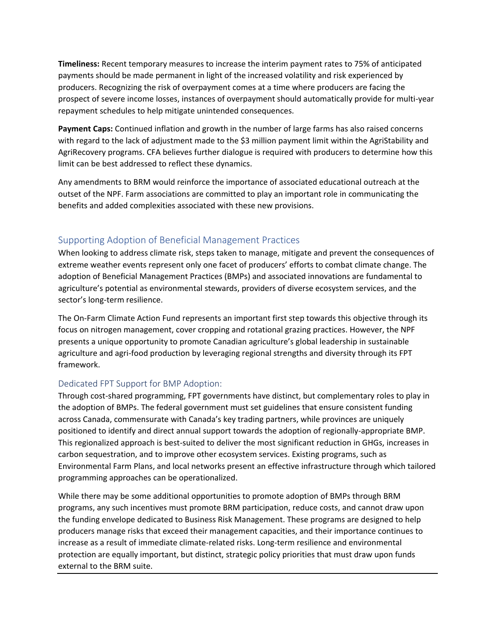**Timeliness:** Recent temporary measures to increase the interim payment rates to 75% of anticipated payments should be made permanent in light of the increased volatility and risk experienced by producers. Recognizing the risk of overpayment comes at a time where producers are facing the prospect of severe income losses, instances of overpayment should automatically provide for multi-year repayment schedules to help mitigate unintended consequences.

**Payment Caps:** Continued inflation and growth in the number of large farms has also raised concerns with regard to the lack of adjustment made to the \$3 million payment limit within the AgriStability and AgriRecovery programs. CFA believes further dialogue is required with producers to determine how this limit can be best addressed to reflect these dynamics.

Any amendments to BRM would reinforce the importance of associated educational outreach at the outset of the NPF. Farm associations are committed to play an important role in communicating the benefits and added complexities associated with these new provisions.

## Supporting Adoption of Beneficial Management Practices

When looking to address climate risk, steps taken to manage, mitigate and prevent the consequences of extreme weather events represent only one facet of producers' efforts to combat climate change. The adoption of Beneficial Management Practices (BMPs) and associated innovations are fundamental to agriculture's potential as environmental stewards, providers of diverse ecosystem services, and the sector's long-term resilience.

The On-Farm Climate Action Fund represents an important first step towards this objective through its focus on nitrogen management, cover cropping and rotational grazing practices. However, the NPF presents a unique opportunity to promote Canadian agriculture's global leadership in sustainable agriculture and agri-food production by leveraging regional strengths and diversity through its FPT framework.

## Dedicated FPT Support for BMP Adoption:

Through cost-shared programming, FPT governments have distinct, but complementary roles to play in the adoption of BMPs. The federal government must set guidelines that ensure consistent funding across Canada, commensurate with Canada's key trading partners, while provinces are uniquely positioned to identify and direct annual support towards the adoption of regionally-appropriate BMP. This regionalized approach is best-suited to deliver the most significant reduction in GHGs, increases in carbon sequestration, and to improve other ecosystem services. Existing programs, such as Environmental Farm Plans, and local networks present an effective infrastructure through which tailored programming approaches can be operationalized.

While there may be some additional opportunities to promote adoption of BMPs through BRM programs, any such incentives must promote BRM participation, reduce costs, and cannot draw upon the funding envelope dedicated to Business Risk Management. These programs are designed to help producers manage risks that exceed their management capacities, and their importance continues to increase as a result of immediate climate-related risks. Long-term resilience and environmental protection are equally important, but distinct, strategic policy priorities that must draw upon funds external to the BRM suite.